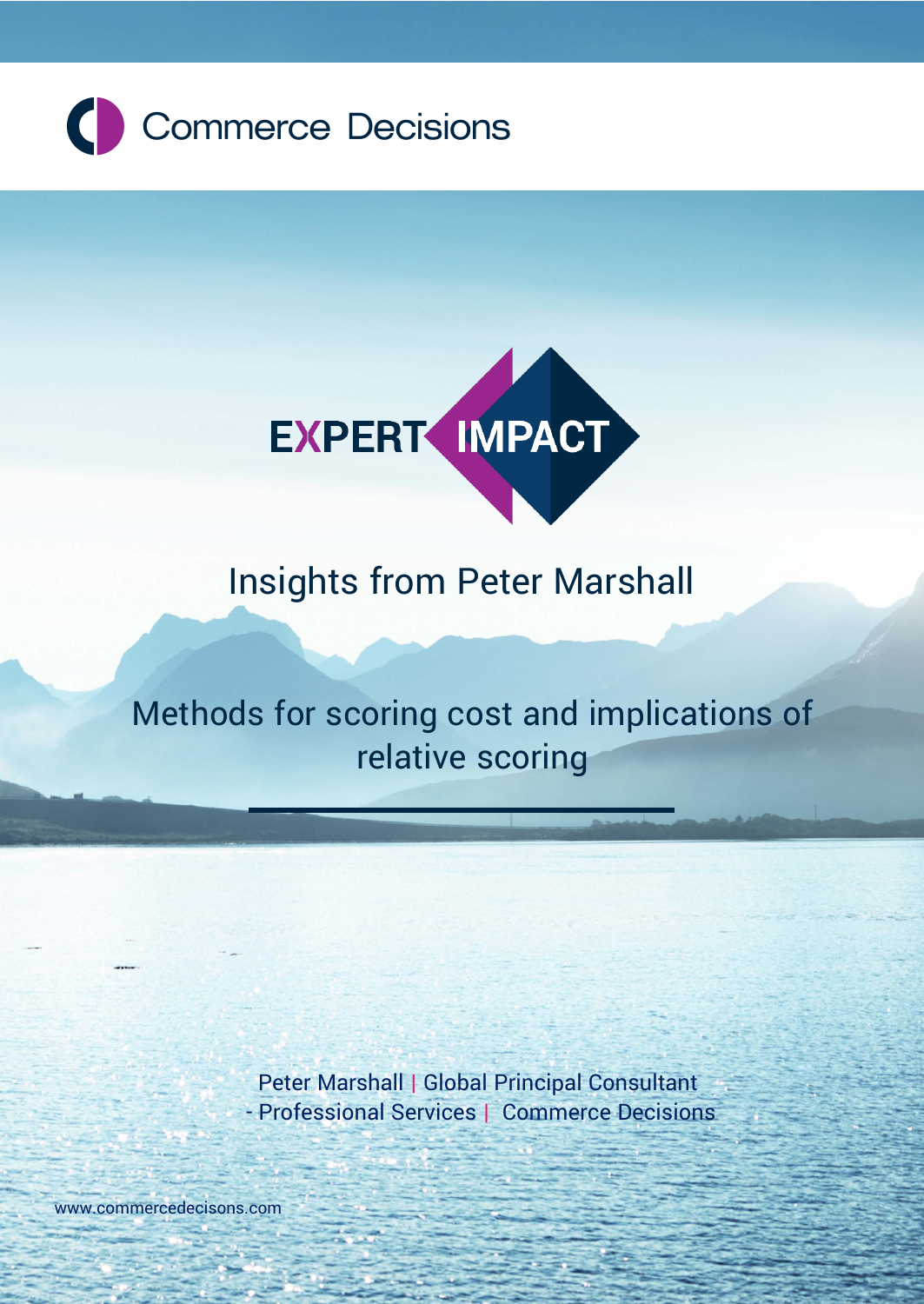



 **Expert Impact | Insights from Peter Marshall**

# Insights from Peter Marshall

# Methods for scoring cost and implications of relative scoring

Peter Marshall | Global Principal Consultant - Professional Services | Commerce Decisions

[www.commercedecisons.com](https://commercedecisions.sharepoint.com/sales/marketing/docs/Collateral/White%20Papers/Editable%20versions/www.commercedecisons.com)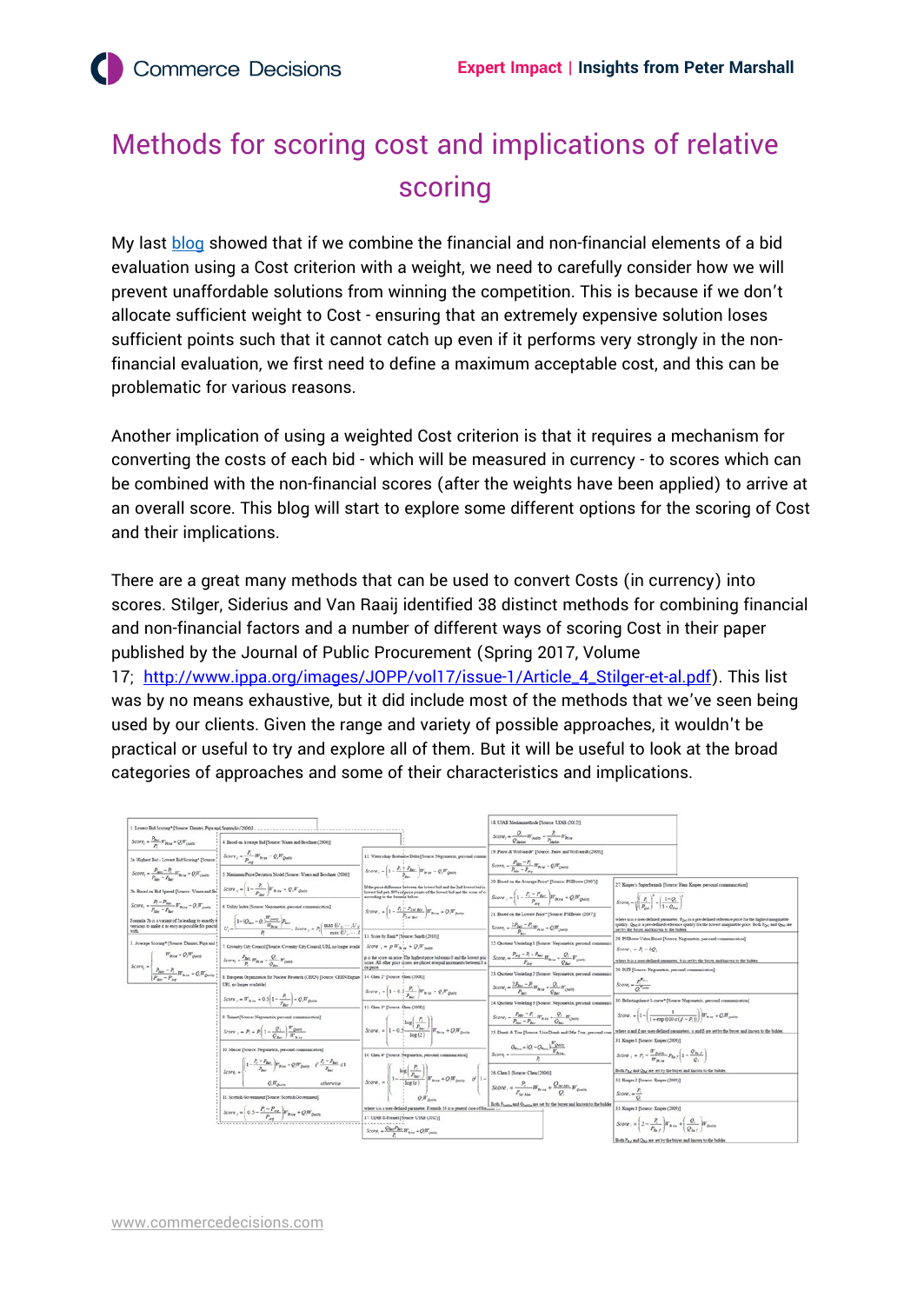## Methods for scoring cost and implications of relative scoring

My last [blog](https://commercedecisions.com/app/uploads/2022/02/Expert-Impact-Introduction-to-VFM-methods.pdf) showed that if we combine the financial and non-financial elements of a bid evaluation using a Cost criterion with a weight, we need to carefully consider how we will prevent unaffordable solutions from winning the competition. This is because if we don't allocate sufficient weight to Cost - ensuring that an extremely expensive solution loses sufficient points such that it cannot catch up even if it performs very strongly in the nonfinancial evaluation, we first need to define a maximum acceptable cost, and this can be problematic for various reasons.

Another implication of using a weighted Cost criterion is that it requires a mechanism for converting the costs of each bid - which will be measured in currency - to scores which can be combined with the non-financial scores (after the weights have been applied) to arrive at an overall score. This blog will start to explore some different options for the scoring of Cost and their implications.

There are a great many methods that can be used to convert Costs (in currency) into scores. Stilger, Siderius and Van Raaij identified 38 distinct methods for combining financial and non-financial factors and a number of different ways of scoring Cost in their paper published by the Journal of Public Procurement (Spring 2017, Volume 17; [http://www.ippa.org/images/JOPP/vol17/issue-1/Article\\_4\\_Stilger-et-al.pdf\)](http://www.ippa.org/images/JOPP/vol17/issue-1/Article_4_Stilger-et-al.pdf). This list was by no means exhaustive, but it did include most of the methods that we've seen being used by our clients. Given the range and variety of possible approaches, it wouldn't be practical or useful to try and explore all of them. But it will be useful to look at the broad categories of approaches and some of their characteristics and implications.

|                                                                                                                                                                                                                                                                                                                                                                                                                                                      |                                                                                                                                                                                                                                                                                                                  |                                                                                                                                                                                                                                                                                                                                   | 18. UEAB Medianmethode [Source: UEAB (2012)]                                                                                                                                                                       |                                                                                                                                                                                                                                                              |
|------------------------------------------------------------------------------------------------------------------------------------------------------------------------------------------------------------------------------------------------------------------------------------------------------------------------------------------------------------------------------------------------------------------------------------------------------|------------------------------------------------------------------------------------------------------------------------------------------------------------------------------------------------------------------------------------------------------------------------------------------------------------------|-----------------------------------------------------------------------------------------------------------------------------------------------------------------------------------------------------------------------------------------------------------------------------------------------------------------------------------|--------------------------------------------------------------------------------------------------------------------------------------------------------------------------------------------------------------------|--------------------------------------------------------------------------------------------------------------------------------------------------------------------------------------------------------------------------------------------------------------|
|                                                                                                                                                                                                                                                                                                                                                                                                                                                      |                                                                                                                                                                                                                                                                                                                  |                                                                                                                                                                                                                                                                                                                                   | Score, $=\frac{Q_i}{Q_{\text{water}}}W_{\text{pair}} - \frac{P_i}{P_{\text{water}}}W_{\text{Riss}}$                                                                                                                |                                                                                                                                                                                                                                                              |
| Score, $=\frac{P_{\text{per}}}{n}W_{\text{Rav}} + QW_{\text{pump}}$                                                                                                                                                                                                                                                                                                                                                                                  | 4. Based on Average Bid [Source: Water and Brochner (2006)]                                                                                                                                                                                                                                                      |                                                                                                                                                                                                                                                                                                                                   |                                                                                                                                                                                                                    |                                                                                                                                                                                                                                                              |
| 2a. Highest Bid - Lowest Bid Scoring* [Source, $\frac{F_t}{P_{\text{max}}}W_{\text{Bres}} - Q_tW_{\text{pump}}$                                                                                                                                                                                                                                                                                                                                      |                                                                                                                                                                                                                                                                                                                  | 12. Waterschap Besbautse Delta (Source: Negometrix, personal commu                                                                                                                                                                                                                                                                | 19. Pause & Wolvasedt* [Source: Pauw and Wolvasedt (2009).                                                                                                                                                         |                                                                                                                                                                                                                                                              |
|                                                                                                                                                                                                                                                                                                                                                                                                                                                      | Score, $-\frac{P_{\text{kin}}-P_1}{P_{\text{in}}-P_{\text{in}}}W_{\text{R}}+QW_{\text{bndip}}$ : 1. Maximum Price Deviation Model [Source: When and Brochuse (2006)]                                                                                                                                             | Score, $= 1 - \frac{P_1 + P_{\text{dec}}}{P_1} \Big  W_{\text{free}} + Q_1 W_{\text{prior}}$                                                                                                                                                                                                                                      | Score, $=\frac{P_{\text{thr}} - P_i}{P_{\text{cm}} - P_i}$ If $_{\text{Rov}} \approx Q_i W_{\text{(moly)}}$<br>20. Based on the Avenue Price* [Source: PSIBouw (2007)]                                             |                                                                                                                                                                                                                                                              |
| 25. Based on Bid Spread [Source: Waara and Bo, $Score_i = \left(1 - \frac{P_i}{P_{\text{max}}} \right)W_{R\text{-tot}} + Q_i W_{Q\text{-min}}$                                                                                                                                                                                                                                                                                                       |                                                                                                                                                                                                                                                                                                                  | If the price difference between the lowest bid and the 2nd lowest bid is<br>lowest bid nets \$0% of price points of the lowest bid and the score of co<br>seconding to the formula below.                                                                                                                                         | Score, = $1 - \frac{P_i - P_{\text{Rec}}}{P} W_{\text{free}} + Q_i W_{\text{pair}}$                                                                                                                                | 27. Kniper's Superformula (Source: Hans Kniper, personal communication)                                                                                                                                                                                      |
|                                                                                                                                                                                                                                                                                                                                                                                                                                                      | Score <sub>1</sub> = $\frac{P_1 - P_{\text{kin}}}{P_{\text{kin}} - P_{\text{in}}} \Pi_{\text{Rier}}^* - Q_1 \Pi_{\text{Qulity}}^*$ 6. Unley lades [Source: Negometrix, personal communication]                                                                                                                   | $Score_{i} = \left(1 - \frac{P_{i} - P_{out,loc}}{P_{out,log}}\right)W_{intra} + Q_{i}W_{guitg}$                                                                                                                                                                                                                                  |                                                                                                                                                                                                                    | Score, $=\sqrt{\frac{P_1}{P_{21}}}$ $+\left(\frac{1-Q_1}{1-Q_2}\right)^2$                                                                                                                                                                                    |
|                                                                                                                                                                                                                                                                                                                                                                                                                                                      | Founds Ib is a variant of 2s leading to exactly $\frac{1}{V}$<br>verifies to sail of an easy as possible for partial $U_i = \frac{\left(1-(Q_{hor}-Q)\frac{W_{Q,hor}}{W_{Riss}}\right)P_{har}}{R}$ . Score $_i = P_i \left( \frac{\max\left(U_1, \ldots, U_N\right)}{\max\left(U_1, \ldots, V_N\right)} \right)$ |                                                                                                                                                                                                                                                                                                                                   | 21. Based on the Lourest Price* [Source: PSIBouw (2007)]<br>Score, $=\frac{2P_{\text{per}}-P_{\text{c}}}{R}W_{\text{Rix}}+QW_{\text{pump}}$                                                                        | where n is a user-defined parameter. Post is a pre-defined reference price for the highest imaginable<br>quality. Que is a pre-defined reference quality for the lowest imaginable price. Both Poet and Que are<br>set by the buyer and known to the bidder. |
| 3. Average Scoring* [Source: Disnitri, Piga and !                                                                                                                                                                                                                                                                                                                                                                                                    | 7. Coventry City Council Hourse: Coventry City Council. URL no longer study   Score $z = p W_{\text{min}} + Q. W_{\text{max}}$                                                                                                                                                                                   | Score by Rask® Himsen: Smith (2010)<br>p is the score on price. The highest price bid earns 0 and the lowest pric<br>score. All other price scores are placed at equal increments between 0 a                                                                                                                                     | 22. Quotient Verdeling 1 [Source: Negometrix, personal communic                                                                                                                                                    | 28. PSIRouw Value Rased (Source: Negometrix, personal communication)<br>Scare, $= P - bQ$ .<br>where b is a user-defined parameter. b is set by the buyer and known to the bidder.                                                                           |
| $\label{eq:2} \begin{split} \mbox{Score}_i = & \left\{ \begin{aligned} &W_{2n\times r} + Q, W_{Qn\times r} \\ &P_{2n} - P_{i} \\ &P_{2n} - P_{2n} \\ \end{aligned} \right. \\ \mbox{We have} \begin{split} &\mbox{Var}(Q, W_{Qn\times r}) \\ &\mbox{Var}(Q, W_{Qn\times r}) \end{split} \begin{split} &\mbox{Score}_i = \frac{P_{2n\times r}}{P_i} \, W_{2n\times r} + \frac{Q_i}{Q_{2n\times r}} \, W_{Qn\times r} \\ &\mbox{E}_{i} \, \mbox{E}_{i$ |                                                                                                                                                                                                                                                                                                                  |                                                                                                                                                                                                                                                                                                                                   | Score, $=\frac{P_{kq}-P_i+P_{bq}}{p}W_{kqq}+\frac{Q_i}{Q_i}W_{q_kqq}$                                                                                                                                              |                                                                                                                                                                                                                                                              |
|                                                                                                                                                                                                                                                                                                                                                                                                                                                      | 8. European Organization for Nuclear Research (CERN) [Source: CERN Engine 14. Chen 2* [Source: Chen (2008)]                                                                                                                                                                                                      |                                                                                                                                                                                                                                                                                                                                   | 23. Quotient Verdeling 2 [Source: Negometrix, personal communic                                                                                                                                                    | 29. ISZF [Source: Negometrix, personal communication]                                                                                                                                                                                                        |
|                                                                                                                                                                                                                                                                                                                                                                                                                                                      | URL no louzer syndshiel<br>Score = $W_{2n+1}$ + 0.5 $1 - \frac{P_1}{P_1}$ + Q, $W_{0n+1}$                                                                                                                                                                                                                        | Score, $= \left[1 - 0.5 \frac{P_1}{P_1} \right] W_{\text{R}} = Q_1 W_{\text{pump}}$                                                                                                                                                                                                                                               | Score, $=\frac{2P_{\text{bar}}-P_1}{P_{\text{bar}}}W_{\text{bar}}+\frac{Q_1}{Q_1}W_{\text{bar}}$                                                                                                                   | $Score_1 = \frac{R^{true}}{R_{true}}$                                                                                                                                                                                                                        |
|                                                                                                                                                                                                                                                                                                                                                                                                                                                      |                                                                                                                                                                                                                                                                                                                  | 15. Chen 3* ISource: Chen (2008))                                                                                                                                                                                                                                                                                                 | 24. Quotient Verdeling 3 (Source: Negometrix, personal communic                                                                                                                                                    | 30. Belastingdienst S-curve* [Source: Negometrix, personal communication]                                                                                                                                                                                    |
|                                                                                                                                                                                                                                                                                                                                                                                                                                                      | 9. Tennet [Source: Negometrix, personal communication]                                                                                                                                                                                                                                                           | Score, $= \left(1 - 0.5 \frac{P_1}{P_{bar}}\right) W_{bar} + QW_{gauge}$                                                                                                                                                                                                                                                          | Score, $=\frac{P_{\text{bin}}-P_1}{P_{\text{bin}}-P_{\text{max}}}W_{\text{Rier}}+\frac{Q_1}{Q_{\text{max}}}W_{\text{(high)}}$                                                                                      | Score, = $1 - \left( \frac{1}{1 + \exp(100 \alpha (n - p))} \right)$ $dr_{\text{kin}} + Q, H'_{\text{pairs}}$                                                                                                                                                |
|                                                                                                                                                                                                                                                                                                                                                                                                                                                      | Score $_{i} = P_{i} + P_{i} \left(1 - \frac{Q_{i}}{Q_{\text{max}}}\right) \frac{W_{\text{gain}}}{W_{\text{max}}}$                                                                                                                                                                                                |                                                                                                                                                                                                                                                                                                                                   | 25. Domb & Tynr [Source: Unia Domb and Offer Tynr, personal com-                                                                                                                                                   | where a nod f are user-defined parameters, a and f are set by the buyer and known to the bidder<br>31. Kniper 1 [Source: Kniper (2009)]                                                                                                                      |
|                                                                                                                                                                                                                                                                                                                                                                                                                                                      | 10. Moscor [Source: Negonietrix, personal communication]                                                                                                                                                                                                                                                         | 16. Chen 4* [Source: Negotuetrix, personal communication]                                                                                                                                                                                                                                                                         | $\label{eq:Gc} \underbrace{Q_{\text{H}_{\text{HT}}}*\left(Q_{i}-Q_{\text{H}_{\text{HT}}}\right)\frac{H_{Q\text{mH}_{\text{H}}}}{H_{\text{H}_{\text{H}_{\text{H}}}}} }_{\text{B}_{\text{H}_{\text{H}_{\text{H}}}}}$ | Score $P_i = \frac{W_{\text{pump}}}{w} P_{\text{far}} \left( 1 - \frac{Q_{\text{far}}}{Q} \right)$                                                                                                                                                           |
|                                                                                                                                                                                                                                                                                                                                                                                                                                                      | $\label{eq:score} \begin{split} \mathcal{L}_{Score} = \left(1-\frac{P_i-P_{bot}}{P_{bot}}\right) & W_{max} + Q_i W_{noise} \quad \text{if $\frac{P_i-P_{bot}}{P_{bot}} \leq 1$} \end{split}$                                                                                                                     |                                                                                                                                                                                                                                                                                                                                   |                                                                                                                                                                                                                    | Both P <sub>hat</sub> and Q <sub>hat</sub> are set by the buyer and known to the biddex                                                                                                                                                                      |
|                                                                                                                                                                                                                                                                                                                                                                                                                                                      | athenetic<br>$Q,W_{Ooulou}$                                                                                                                                                                                                                                                                                      | Score = $\left \sum_{S \in \text{pre}, \mu} \frac{\log \left(\frac{P_i}{P_{\text{free}}}\right)}{\log (1)}\right  W_{\text{R},\mu} + Q_i W_{\text{pump}}$ = $\theta' \left 1 - \left \sum_{S \in \text{OPE}, \mu} \frac{P_i}{P_{\text{free}} \cdot W_{\text{R},\mu}} + \frac{Q_{\mu \mu \text{J/m}}}{Q_i} W_{\text{pump}}\right $ |                                                                                                                                                                                                                    | 32 Kniper 2 [Source: Kniper (2009)]<br>$Score_1 - \frac{P_1}{P_1}$                                                                                                                                                                                           |
|                                                                                                                                                                                                                                                                                                                                                                                                                                                      | 11. Scottish Government [Souce: Scottish Government]<br>Score, = $\left(0.5 - \frac{P_i - P_{\text{avg}}}{P_{\text{avg}}} \right) W_{\text{prior}} + Q_i W_{\text{prior}}$                                                                                                                                       |                                                                                                                                                                                                                                                                                                                                   | Both P <sub>hettia</sub> and Q <sub>hettia</sub> are set by the buyer and known to the biddes                                                                                                                      |                                                                                                                                                                                                                                                              |
|                                                                                                                                                                                                                                                                                                                                                                                                                                                      |                                                                                                                                                                                                                                                                                                                  | where i is a user-defined parameter. Formula 16 is a general case of for<br>17. USAB IL Formel (Source: USAB (2012))                                                                                                                                                                                                              |                                                                                                                                                                                                                    | 33. Kniper 3 [Sonror: Kniper (2009)]<br>Score, = $\left(2-\frac{P_t}{R}\right)W_{Btx}+\left(\frac{Q_t}{Q}\right)W_{Bwty}$                                                                                                                                    |
|                                                                                                                                                                                                                                                                                                                                                                                                                                                      |                                                                                                                                                                                                                                                                                                                  | Score, $=\frac{Q_{\text{Rec}}P_{\text{Rec}}}{n}W_{\text{R}+\text{ce}} + QW_{\text{Q} \text{adip}}$                                                                                                                                                                                                                                |                                                                                                                                                                                                                    | Both P <sub>hat</sub> and Q <sub>hat</sub> are set by the buyer and known to the bidde                                                                                                                                                                       |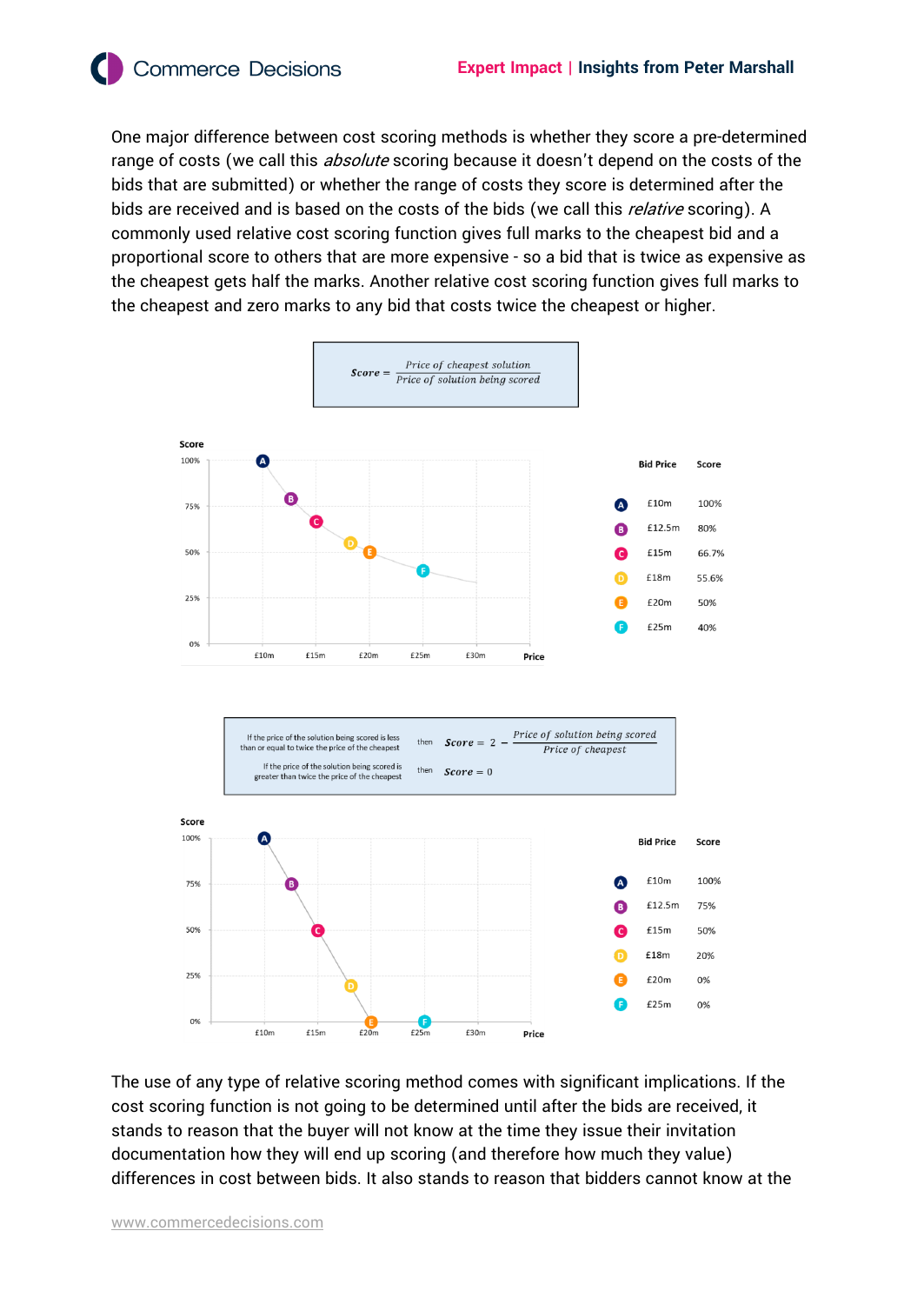**Commerce Decisions** 

One major difference between cost scoring methods is whether they score a pre-determined range of costs (we call this *absolute* scoring because it doesn't depend on the costs of the bids that are submitted) or whether the range of costs they score is determined after the bids are received and is based on the costs of the bids (we call this *relative* scoring). A commonly used relative cost scoring function gives full marks to the cheapest bid and a proportional score to others that are more expensive - so a bid that is twice as expensive as the cheapest gets half the marks. Another relative cost scoring function gives full marks to the cheapest and zero marks to any bid that costs twice the cheapest or higher.



The use of any type of relative scoring method comes with significant implications. If the cost scoring function is not going to be determined until after the bids are received, it stands to reason that the buyer will not know at the time they issue their invitation documentation how they will end up scoring (and therefore how much they value) differences in cost between bids. It also stands to reason that bidders cannot know at the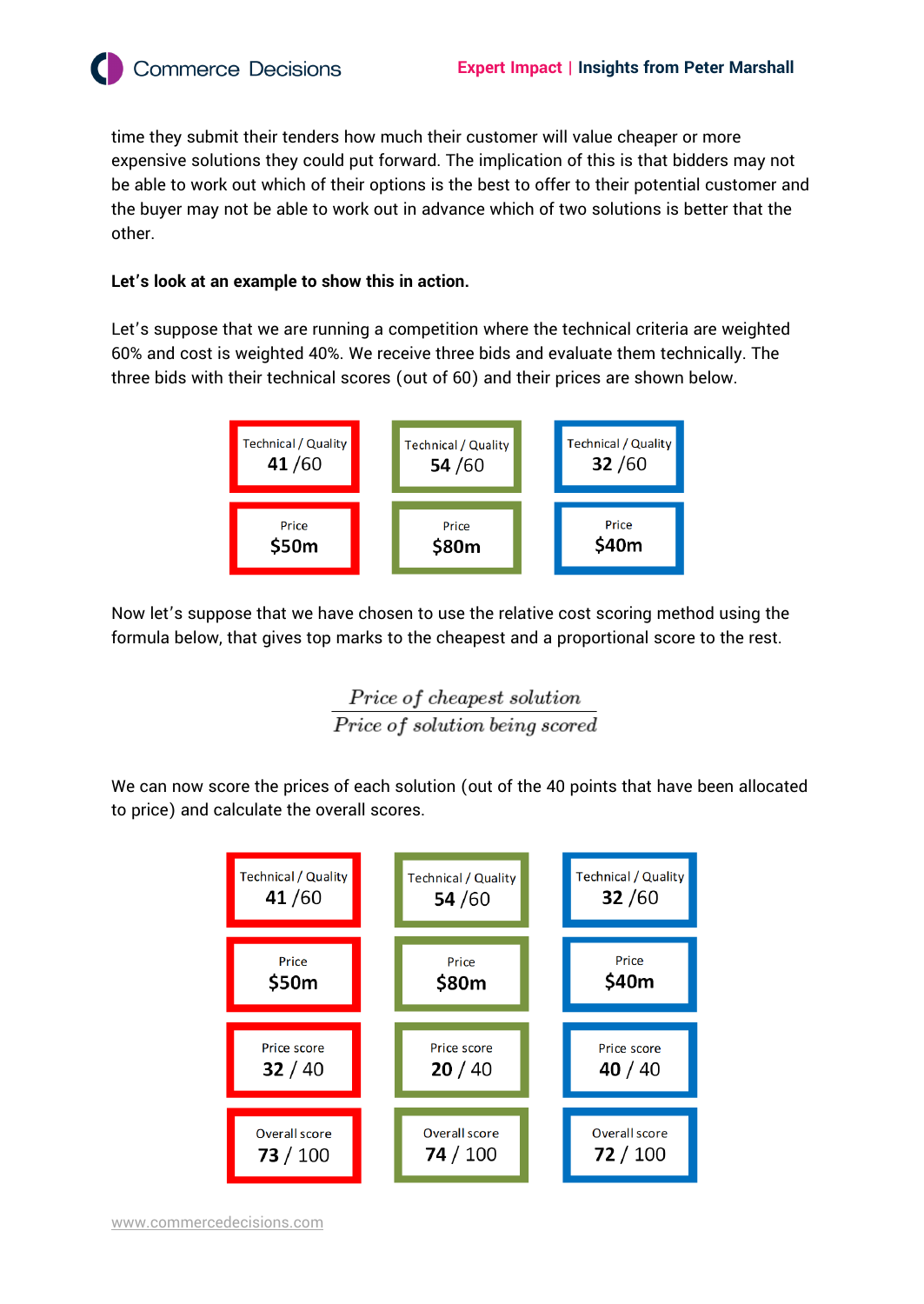time they submit their tenders how much their customer will value cheaper or more expensive solutions they could put forward. The implication of this is that bidders may not be able to work out which of their options is the best to offer to their potential customer and the buyer may not be able to work out in advance which of two solutions is better that the other.

#### **Let's look at an example to show this in action.**

**Commerce Decisions** 

Let's suppose that we are running a competition where the technical criteria are weighted 60% and cost is weighted 40%. We receive three bids and evaluate them technically. The three bids with their technical scores (out of 60) and their prices are shown below.



Now let's suppose that we have chosen to use the relative cost scoring method using the formula below, that gives top marks to the cheapest and a proportional score to the rest.

> Price of cheapest solution Price of solution being scored

We can now score the prices of each solution (out of the 40 points that have been allocated to price) and calculate the overall scores.

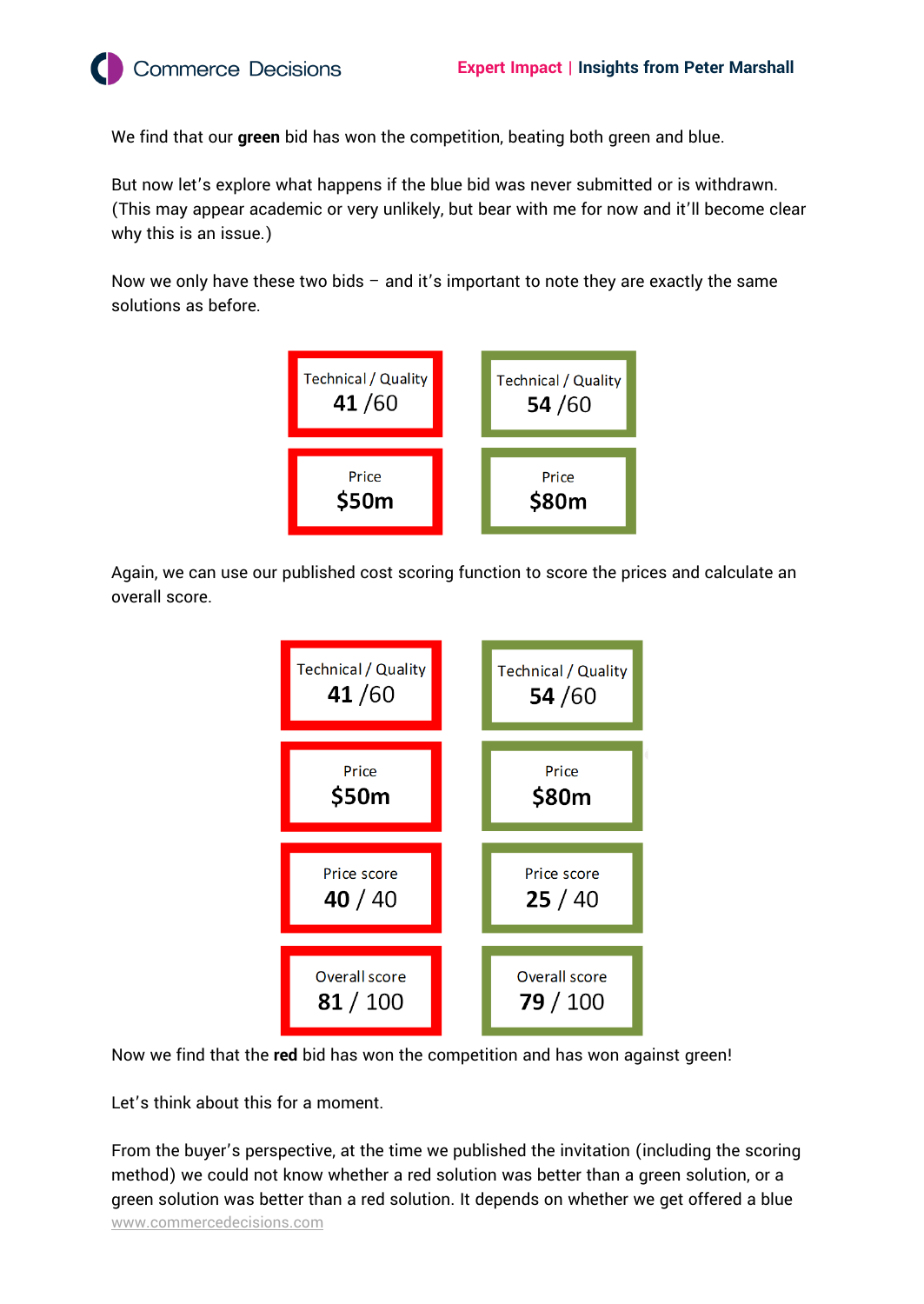**Commerce Decisions** 

We find that our **green** bid has won the competition, beating both green and blue.

But now let's explore what happens if the blue bid was never submitted or is withdrawn. (This may appear academic or very unlikely, but bear with me for now and it'll become clear why this is an issue.)

Now we only have these two bids  $-$  and it's important to note they are exactly the same solutions as before.



Again, we can use our published cost scoring function to score the prices and calculate an overall score.



Now we find that the **red** bid has won the competition and has won against green!

Let's think about this for a moment.

[www.commercedecisions.com](http://www.commercedecisions.com/) From the buyer's perspective, at the time we published the invitation (including the scoring method) we could not know whether a red solution was better than a green solution, or a green solution was better than a red solution. It depends on whether we get offered a blue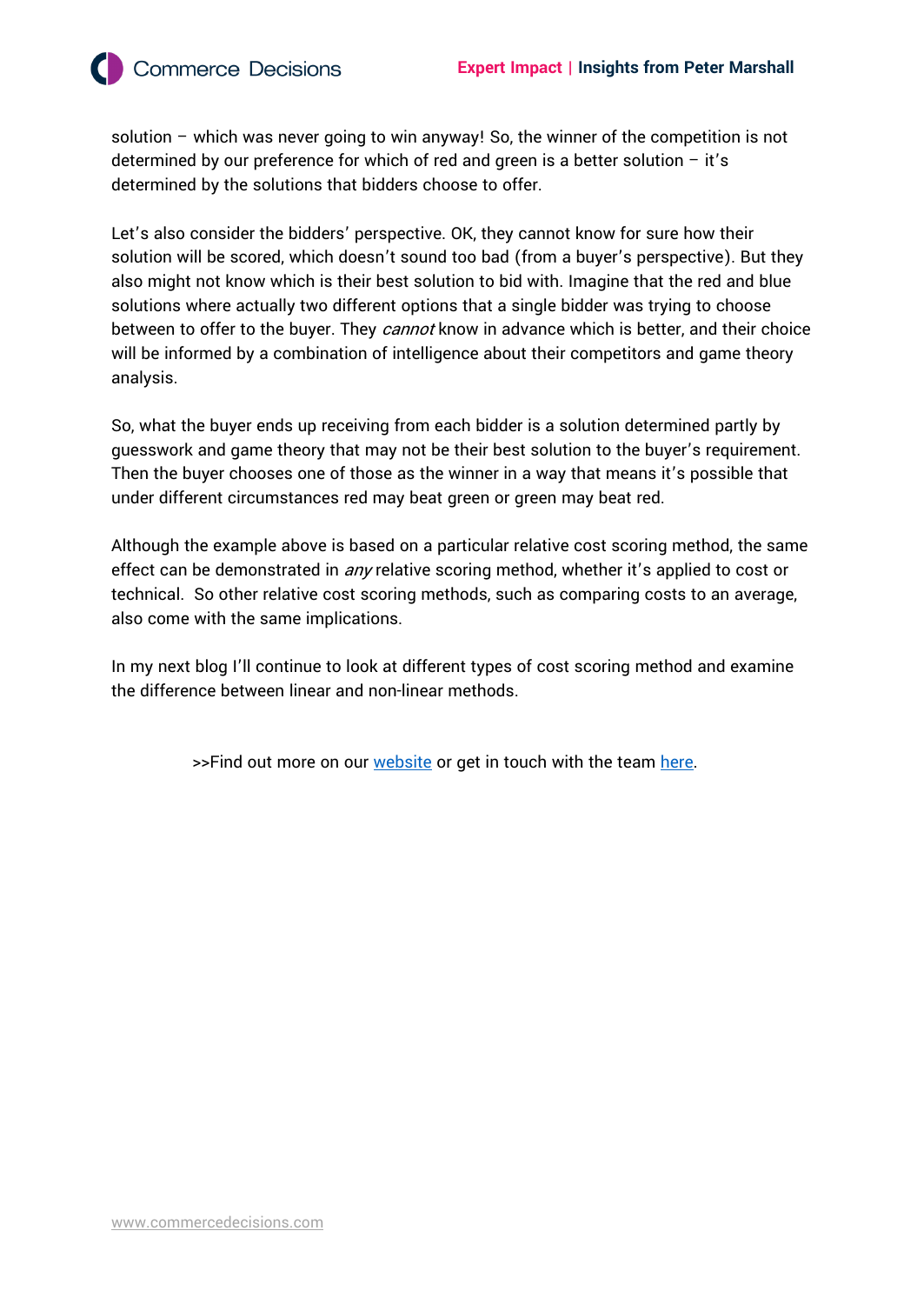solution – which was never going to win anyway! So, the winner of the competition is not determined by our preference for which of red and green is a better solution  $-$  it's determined by the solutions that bidders choose to offer.

Let's also consider the bidders' perspective. OK, they cannot know for sure how their solution will be scored, which doesn't sound too bad (from a buyer's perspective). But they also might not know which is their best solution to bid with. Imagine that the red and blue solutions where actually two different options that a single bidder was trying to choose between to offer to the buyer. They cannot know in advance which is better, and their choice will be informed by a combination of intelligence about their competitors and game theory analysis.

So, what the buyer ends up receiving from each bidder is a solution determined partly by guesswork and game theory that may not be their best solution to the buyer's requirement. Then the buyer chooses one of those as the winner in a way that means it's possible that under different circumstances red may beat green or green may beat red.

Although the example above is based on a particular relative cost scoring method, the same effect can be demonstrated in *any* relative scoring method, whether it's applied to cost or technical. So other relative cost scoring methods, such as comparing costs to an average, also come with the same implications.

In my next blog I'll continue to look at different types of cost scoring method and examine the difference between linear and non-linear methods.

>>Find out more on our [website](https://commercedecisions.com/) or get in touch with the team [here.](https://commercedecisions.com/contact/)